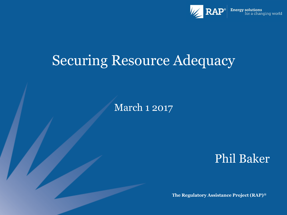

#### Securing Resource Adequacy

March 1 2017

Phil Baker

**The Regulatory Assistance Project (RAP)®**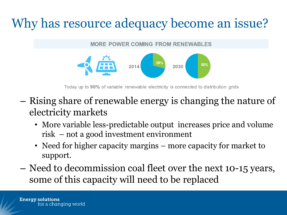## Why has resource adequacy become an issue?

#### **MORE POWER COMING FROM RENEWABLES**



Today up to 90% of variable renewable electricity is connected to distribution grids

- Rising share of renewable energy is changing the nature of electricity markets
	- More variable less-predictable output increases price and volume risk – not a good investment environment
	- Need for higher capacity margins more capacity for market to support.
- Need to decommission coal fleet over the next 10-15 years, some of this capacity will need to be replaced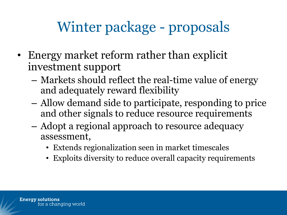# Winter package - proposals

- Energy market reform rather than explicit investment support
	- Markets should reflect the real-time value of energy and adequately reward flexibility
	- Allow demand side to participate, responding to price and other signals to reduce resource requirements
	- Adopt a regional approach to resource adequacy assessment,
		- Extends regionalization seen in market timescales
		- Exploits diversity to reduce overall capacity requirements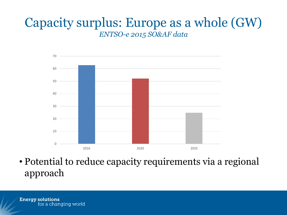#### Capacity surplus: Europe as a whole (GW) *ENTSO-e 2015 SO&AF data*



• Potential to reduce capacity requirements via a regional approach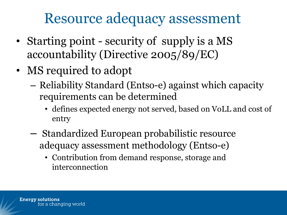## Resource adequacy assessment

- Starting point security of supply is a MS accountability (Directive 2005/89/EC)
- MS required to adopt
	- Reliability Standard (Entso-e) against which capacity requirements can be determined
		- defines expected energy not served, based on VoLL and cost of entry
	- Standardized European probabilistic resource adequacy assessment methodology (Entso-e)
		- Contribution from demand response, storage and interconnection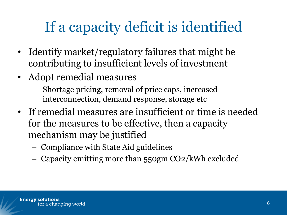# If a capacity deficit is identified

- Identify market/regulatory failures that might be contributing to insufficient levels of investment
- Adopt remedial measures
	- Shortage pricing, removal of price caps, increased interconnection, demand response, storage etc
- If remedial measures are insufficient or time is needed for the measures to be effective, then a capacity mechanism may be justified
	- Compliance with State Aid guidelines
	- Capacity emitting more than 550gm CO2/kWh excluded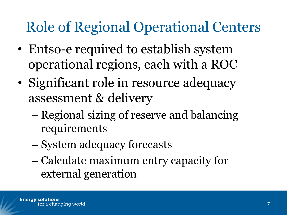# Role of Regional Operational Centers

- Entso-e required to establish system operational regions, each with a ROC
- Significant role in resource adequacy assessment & delivery
	- Regional sizing of reserve and balancing requirements
	- System adequacy forecasts
	- Calculate maximum entry capacity for external generation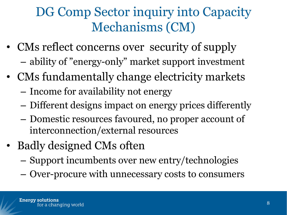#### DG Comp Sector inquiry into Capacity Mechanisms (CM)

- CMs reflect concerns over security of supply – ability of "energy-only" market support investment
- CMs fundamentally change electricity markets
	- Income for availability not energy
	- Different designs impact on energy prices differently
	- Domestic resources favoured, no proper account of interconnection/external resources
- Badly designed CMs often
	- Support incumbents over new entry/technologies
	- Over-procure with unnecessary costs to consumers